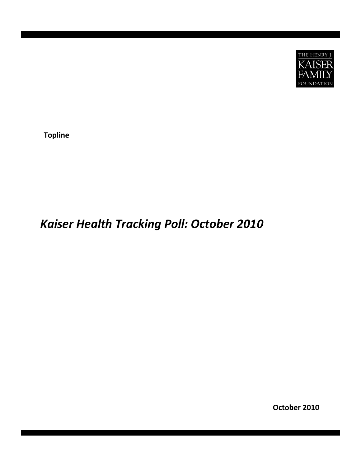

**Topline**

# *Kaiser Health Tracking Poll: October 2010*

**October 2010**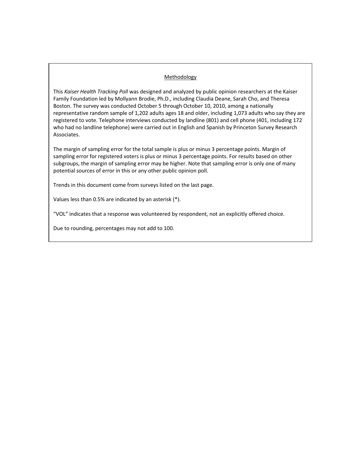## **Methodology**

This *Kaiser Health Tracking Poll* was designed and analyzed by public opinion researchers at the Kaiser Family Foundation led by Mollyann Brodie, Ph.D., including Claudia Deane, Sarah Cho, and Theresa Boston. The survey was conducted October 5 through October 10, 2010, among a nationally representative random sample of 1,202 adults ages 18 and older, including 1,073 adults who say they are registered to vote. Telephone interviews conducted by landline (801) and cell phone (401, including 172 who had no landline telephone) were carried out in English and Spanish by Princeton Survey Research Associates.

The margin of sampling error for the total sample is plus or minus 3 percentage points. Margin of sampling error for registered voters is plus or minus 3 percentage points. For results based on other subgroups, the margin of sampling error may be higher. Note that sampling error is only one of many potential sources of error in this or any other public opinion poll.

Trends in this document come from surveys listed on the last page.

Values less than 0.5% are indicated by an asterisk (\*).

"VOL" indicates that a response was volunteered by respondent, not an explicitly offered choice.

Due to rounding, percentages may not add to 100.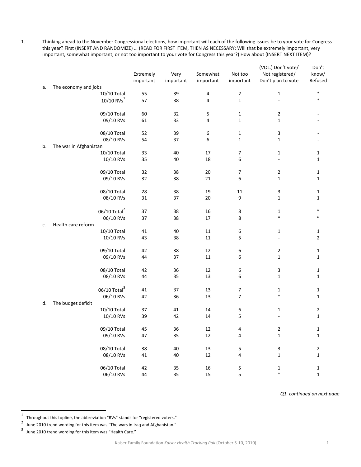1. Thinking ahead to the November Congressional elections, how important will each of the following issues be to your vote for Congress this year? First (INSERT AND RANDOMIZE) … (READ FOR FIRST ITEM, THEN AS NECESSARY: Will that be extremely important, very important, somewhat important, or not too important to your vote for Congress this year?) How about (INSERT NEXT ITEM)?

|    |                                       | Extremely<br>important | Very<br>important | Somewhat<br>important | Not too<br>important | (VOL.) Don't vote/<br>Not registered/<br>Don't plan to vote | Don't<br>know/<br>Refused |  |
|----|---------------------------------------|------------------------|-------------------|-----------------------|----------------------|-------------------------------------------------------------|---------------------------|--|
| a. | The economy and jobs                  |                        |                   |                       |                      |                                                             |                           |  |
|    | 10/10 Total                           | 55                     | 39                | 4                     | $\overline{2}$       | $\mathbf 1$                                                 | $\ast$                    |  |
|    | 10/10 RVs <sup>1</sup>                | 57                     | 38                | 4                     | $\mathbf{1}$         |                                                             |                           |  |
|    |                                       |                        |                   |                       |                      |                                                             |                           |  |
|    | 09/10 Total                           | 60                     | 32                | 5                     | 1                    | $\overline{2}$                                              |                           |  |
|    | 09/10 RVs                             | 61                     | 33                | 4                     | $\mathbf{1}$         | $\mathbf{1}$                                                |                           |  |
|    |                                       |                        |                   |                       |                      |                                                             |                           |  |
|    | 08/10 Total                           | 52                     | 39                | 6                     | 1                    | 3                                                           |                           |  |
|    | 08/10 RVs                             | 54                     | 37                | 6                     | $\mathbf{1}$         | $\mathbf{1}$                                                |                           |  |
| b. | The war in Afghanistan<br>10/10 Total | 33                     | 40                | 17                    | 7                    | $\mathbf{1}$                                                | 1                         |  |
|    | 10/10 RVs                             | 35                     | 40                | 18                    | 6                    |                                                             | 1                         |  |
|    |                                       |                        |                   |                       |                      |                                                             |                           |  |
|    | 09/10 Total                           | 32                     | 38                | $20\,$                | 7                    | $\mathbf 2$                                                 | 1                         |  |
|    | 09/10 RVs                             | 32                     | 38                | 21                    | 6                    | $\mathbf{1}$                                                | 1                         |  |
|    |                                       |                        |                   |                       |                      |                                                             |                           |  |
|    | 08/10 Total                           | 28                     | 38                | 19                    | 11                   | 3                                                           | 1                         |  |
|    | 08/10 RVs                             | 31                     | 37                | 20                    | 9                    | $\mathbf{1}$                                                | 1                         |  |
|    | 06/10 Total <sup>2</sup>              | 37                     | 38                | 16                    | 8                    | 1                                                           | ∗                         |  |
|    | 06/10 RVs                             | 37                     | 38                | 17                    | 8                    | $\ast$                                                      | $\ast$                    |  |
| c. | Health care reform                    |                        |                   |                       |                      |                                                             |                           |  |
|    | 10/10 Total                           | 41                     | 40                | 11                    | 6                    | 1                                                           | 1                         |  |
|    | 10/10 RVs                             | 43                     | 38                | 11                    | 5                    |                                                             | $\overline{2}$            |  |
|    |                                       |                        |                   |                       |                      |                                                             |                           |  |
|    | 09/10 Total                           | 42                     | 38                | 12                    | 6                    | $\mathbf 2$                                                 | 1                         |  |
|    | 09/10 RVs                             | 44                     | 37                | $11\,$                | 6                    | $\mathbf{1}$                                                | $\mathbf{1}$              |  |
|    | 08/10 Total                           | 42                     | 36                | 12                    | 6                    | 3                                                           | $\mathbf{1}$              |  |
|    | 08/10 RVs                             | 44                     | 35                | 13                    | 6                    | $\mathbf{1}$                                                | 1                         |  |
|    |                                       |                        |                   |                       |                      |                                                             |                           |  |
|    | $06/10$ Total <sup>3</sup>            | 41                     | 37                | 13                    | 7                    | 1                                                           | 1                         |  |
|    | 06/10 RVs                             | 42                     | 36                | 13                    | 7                    | $\ast$                                                      | $\mathbf{1}$              |  |
| d. | The budget deficit                    |                        |                   |                       |                      |                                                             |                           |  |
|    | 10/10 Total                           | 37                     | 41                | 14                    | 6                    | $\mathbf{1}$                                                | 2                         |  |
|    | 10/10 RVs                             | 39                     | 42                | 14                    | 5                    |                                                             | $\mathbf{1}$              |  |
|    | 09/10 Total                           | 45                     | 36                | $12\,$                | 4                    | $\overline{z}$                                              | 1                         |  |
|    | 09/10 RVs                             | 47                     | 35                | $12\,$                | 4                    | $\mathbf 1$                                                 | $\mathbf 1$               |  |
|    |                                       |                        |                   |                       |                      |                                                             |                           |  |
|    | 08/10 Total                           | 38                     | 40                | 13                    | 5                    | 3                                                           | $\mathbf{2}$              |  |
|    | 08/10 RVs                             | 41                     | 40                | 12                    | 4                    | $\mathbf 1$                                                 | $\mathbf 1$               |  |
|    | 06/10 Total                           | 42                     | 35                | $16\,$                | 5                    | $\mathbf 1$                                                 | $\mathbf 1$               |  |
|    | 06/10 RVs                             | 44                     | 35                | 15                    | 5                    | $\ast$                                                      | $\mathbf{1}$              |  |
|    |                                       |                        |                   |                       |                      |                                                             |                           |  |

*Q1. continued on next page*

<sup>1</sup> Throughout this topline, the abbreviation "RVs" stands for "registered voters."<br> $\frac{2}{\pi}$  line 2010 tread wording for this item was "The wars in legg and Afghanistan."

<sup>&</sup>lt;sup>2</sup> June 2010 trend wording for this item was "The wars in Iraq and Afghanistan."<br><sup>3</sup> June 2010 trend wording for this item was "Health Care."

June 2010 trend wording for this item was "Health Care."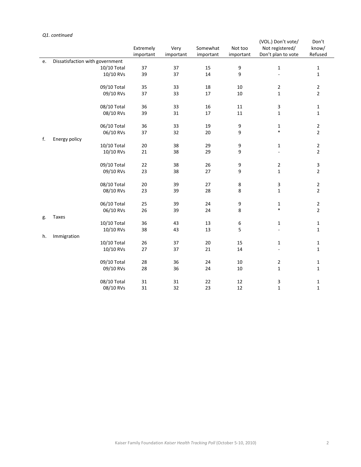## *Q1. continued*

|    |                                 |           |           |           |                       | (VOL.) Don't vote/ | Don't                     |
|----|---------------------------------|-----------|-----------|-----------|-----------------------|--------------------|---------------------------|
|    |                                 | Extremely | Very      | Somewhat  | Not too               | Not registered/    | know/                     |
|    |                                 | important | important | important | important             | Don't plan to vote | Refused                   |
| e. | Dissatisfaction with government |           |           |           |                       |                    |                           |
|    | 10/10 Total                     | 37<br>39  | 37<br>37  | 15<br>14  | $\boldsymbol{9}$<br>9 | $\mathbf 1$        | $\mathbf 1$               |
|    | 10/10 RVs                       |           |           |           |                       | ÷,                 | $\mathbf{1}$              |
|    | 09/10 Total                     | 35        | 33        | 18        | $10\,$                | $\overline{2}$     | $\overline{2}$            |
|    | 09/10 RVs                       | 37        | 33        | 17        | $10\,$                | $\mathbf{1}$       | $\overline{2}$            |
|    | 08/10 Total                     | 36        | 33        | 16        | $11\,$                | 3                  | $1\,$                     |
|    | 08/10 RVs                       | 39        | 31        | 17        | 11                    | $\mathbf 1$        | $\mathbf 1$               |
|    | 06/10 Total                     | 36        | 33        | 19        | 9                     | $\mathbf{1}$       | $\mathbf 2$               |
|    | 06/10 RVs                       | 37        | 32        | 20        | 9                     | $\ast$             | $\mathbf 2$               |
| f. | Energy policy                   |           |           |           |                       |                    |                           |
|    | 10/10 Total                     | 20        | 38        | 29        | 9                     | $\mathbf{1}$       | $\overline{2}$            |
|    | 10/10 RVs                       | 21        | 38        | 29        | 9                     |                    | $\mathbf 2$               |
|    |                                 |           |           |           |                       |                    |                           |
|    | 09/10 Total                     | 22        | 38        | 26        | 9                     | $\mathbf 2$        | $\ensuremath{\mathsf{3}}$ |
|    | 09/10 RVs                       | 23        | 38        | 27        | 9                     | $\mathbf{1}$       | $\overline{2}$            |
|    | 08/10 Total                     | 20        | 39        | 27        | 8                     | 3                  | $\mathbf 2$               |
|    | 08/10 RVs                       | 23        | 39        | 28        | 8                     | $\mathbf{1}$       | $\overline{2}$            |
|    | 06/10 Total                     | 25        | 39        | 24        | 9                     | $\mathbf{1}$       | $\overline{\mathbf{c}}$   |
|    | 06/10 RVs                       | 26        | 39        | 24        | 8                     | $\ast$             | $\overline{2}$            |
| g. | Taxes                           |           |           |           |                       |                    |                           |
|    | 10/10 Total                     | 36        | 43        | 13        | 6                     | $\mathbf 1$        | $\mathbf{1}$              |
|    | 10/10 RVs                       | 38        | 43        | 13        | 5                     |                    | $\mathbf{1}$              |
| h. | Immigration                     |           |           |           |                       |                    |                           |
|    | 10/10 Total                     | 26        | 37        | 20        | 15                    | $\mathbf{1}$       | $1\,$                     |
|    | 10/10 RVs                       | 27        | 37        | 21        | 14                    | ÷                  | $\mathbf 1$               |
|    | 09/10 Total                     | 28        | 36        | 24        | 10                    | $\overline{2}$     | $\mathbf{1}$              |
|    | 09/10 RVs                       | 28        | 36        | 24        | $10\,$                | $\mathbf 1$        | $\mathbf 1$               |
|    | 08/10 Total                     | 31        | 31        | 22        | 12                    | 3                  | $\mathbf{1}$              |
|    | 08/10 RVs                       | 31        | 32        | 23        | 12                    | $\mathbf 1$        | $\mathbf 1$               |
|    |                                 |           |           |           |                       |                    |                           |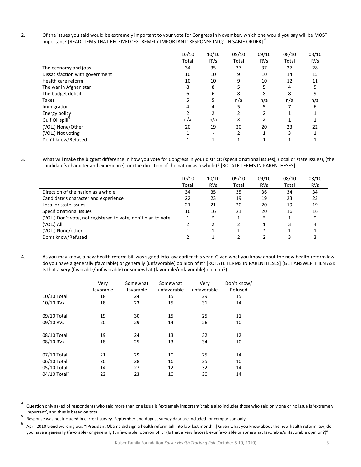2. Of the issues you said would be extremely important to your vote for Congress in November, which one would you say will be MOST important? [READ ITEMS THAT RECEIVED 'EXTREMELY IMPORTANT' RESPONSE IN Q1 IN SAME ORDER]<sup>4</sup>

|                                 | 10/10 | 10/10      | 09/10 | 09/10      | 08/10 | 08/10      |
|---------------------------------|-------|------------|-------|------------|-------|------------|
|                                 | Total | <b>RVs</b> | Total | <b>RVs</b> | Total | <b>RVs</b> |
| The economy and jobs            | 34    | 35         | 37    | 37         | 27    | 28         |
| Dissatisfaction with government | 10    | 10         | 9     | 10         | 14    | 15         |
| Health care reform              | 10    | 10         | 9     | 10         | 12    | 11         |
| The war in Afghanistan          | 8     | 8          |       | 5          | 4     |            |
| The budget deficit              | 6     | 6          | 8     | 8          | 8     |            |
| Taxes                           |       | 5          | n/a   | n/a        | n/a   | n/a        |
| Immigration                     |       | 4          |       | 5          |       | 6          |
| Energy policy                   |       |            |       |            |       |            |
| Gulf Oil spill                  | n/a   | n/a        | 3     | 2          |       |            |
| (VOL.) None/Other               | 20    | 19         | 20    | 20         | 23    | 22         |
| (VOL.) Not voting               |       |            |       |            | 3     |            |
| Don't know/Refused              |       |            |       |            |       |            |

3. What will make the biggest difference in how you vote for Congress in your district: (specific national issues), (local or state issues), (the candidate's character and experience), or (the direction of the nation as a whole)? [ROTATE TERMS IN PARENTHESES]

|                                                               | 10/10<br>Total | 10/10<br><b>RVs</b> | 09/10<br>Total | 09/10<br><b>RVs</b> | 08/10<br>Total | 08/10<br><b>RVs</b> |
|---------------------------------------------------------------|----------------|---------------------|----------------|---------------------|----------------|---------------------|
| Direction of the nation as a whole                            | 34             | 35                  | 35             | 36                  | 34             | 34                  |
| Candidate's character and experience                          | 22             | 23                  | 19             | 19                  | 23             | 23                  |
| Local or state issues                                         | 21             | 21                  | 20             | 20                  | 19             | 19                  |
| Specific national issues                                      | 16             | 16                  | 21             | 20                  | 16             | 16                  |
| (VOL.) Don't vote, not registered to vote, don't plan to vote |                | $\ast$              |                | $\ast$              |                | $\ast$              |
| (VOL.) All                                                    |                |                     |                |                     |                | 4                   |
| (VOL.) None/other                                             |                |                     |                | *                   |                |                     |
| Don't know/Refused                                            |                |                     |                |                     |                |                     |

4. As you may know, a new health reform bill was signed into law earlier this year. Given what you know about the new health reform law, do you have a generally (favorable) or generally (unfavorable) opinion of it? [ROTATE TERMS IN PARENTHESES] [GET ANSWER THEN ASK: Is that a very (favorable/unfavorable) or somewhat (favorable/unfavorable) opinion?)

|                          | Very<br>favorable | Somewhat<br>favorable | Somewhat<br>unfavorable | Very<br>unfavorable | Don't know/<br>Refused |
|--------------------------|-------------------|-----------------------|-------------------------|---------------------|------------------------|
|                          |                   |                       |                         |                     |                        |
| 10/10 Total              | 18                | 24                    | 15                      | 29                  | 15                     |
| 10/10 RVs                | 18                | 23                    | 15                      | 31                  | 14                     |
|                          |                   |                       |                         |                     |                        |
| 09/10 Total              | 19                | 30                    | 15                      | 25                  | 11                     |
| 09/10 RVs                | 20                | 29                    | 14                      | 26                  | 10                     |
|                          |                   |                       |                         |                     |                        |
| 08/10 Total              | 19                | 24                    | 13                      | 32                  | 12                     |
| 08/10 RVs                | 18                | 25                    | 13                      | 34                  | 10                     |
|                          |                   |                       |                         |                     |                        |
| 07/10 Total              | 21                | 29                    | 10                      | 25                  | 14                     |
| 06/10 Total              | 20                | 28                    | 16                      | 25                  | 10                     |
| 05/10 Total              | 14                | 27                    | 12                      | 32                  | 14                     |
| 04/10 Total <sup>6</sup> | 23                | 23                    | 10                      | 30                  | 14                     |
|                          |                   |                       |                         |                     |                        |

<sup>4</sup> Question only asked of respondents who said more than one issue is 'extremely important'; table also includes those who said only one or no issue is 'extremely important', and thus is based on total.<br><sup>5</sup> Response was not included in current survey. September and August survey data are included for comparison only.

<sup>6</sup> April 2010 trend wording was "[President Obama did sign a health reform bill into law last month…] Given what you know about the new health reform law, do you have a generally (favorable) or generally (unfavorable) opinion of it? (Is that a very favorable/unfavorable or somewhat favorable/unfavorable opinion?)"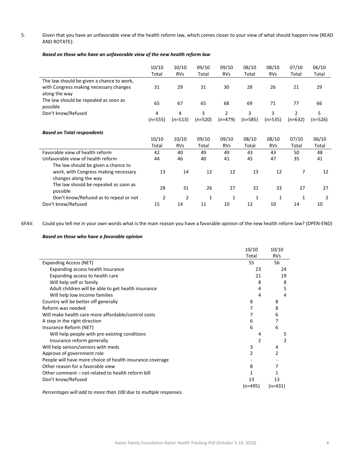5. Given that you have an unfavorable view of the health reform law, which comes closer to your view of what should happen now (READ AND ROTATE):

|                                                                                                      | 10/10<br>Total | 10/10<br><b>RVs</b> | 09/10<br>Total | 09/10<br><b>RVs</b>         | 08/10<br>Total | 08/10<br><b>RVs</b> | 07/10<br>Total | 06/10<br>Total |
|------------------------------------------------------------------------------------------------------|----------------|---------------------|----------------|-----------------------------|----------------|---------------------|----------------|----------------|
| The law should be given a chance to work,<br>with Congress making necessary changes<br>along the way | 31             | 29                  | 31             | 30                          | 28             | 26                  | 21             | 29             |
| The law should be repealed as soon as<br>possible                                                    | 65             | 67                  | 65             | 68                          | 69             | 71                  | 77             | 66             |
| Don't know/Refused                                                                                   | 4<br>$(n=555)$ | 4<br>$(n=513)$      | 3<br>$(n=520)$ | $\overline{2}$<br>$(n=479)$ | 3<br>$(n=585)$ | 3<br>$(n=535)$      | 2<br>$(n=632)$ | 5<br>(n=526)   |
| <b>Based on Total respondents</b>                                                                    |                |                     |                |                             |                |                     |                |                |
|                                                                                                      | 10/10<br>Total | 10/10<br><b>RVs</b> | 09/10<br>Total | 09/10<br><b>RVs</b>         | 08/10<br>Total | 08/10<br><b>RVs</b> | 07/10<br>Total | 06/10<br>Total |
| Favorable view of health reform                                                                      | 42             | 40                  | 49             | 49                          | 43             | 43                  | 50             | 48             |
| Unfavorable view of health reform                                                                    | 44             | 46                  | 40             | 41                          | 45             | 47                  | 35             | 41             |
| The law should be given a chance to<br>work, with Congress making necessary<br>changes along the way | 13             | 14                  | 12             | 12                          | 13             | 12                  | 7              | 12             |
| The law should be repealed as soon as<br>possible                                                    | 28             | 31                  | 26             | 27                          | 31             | 33                  | 27             | 27             |
| Don't know/Refused as to repeal or not                                                               | $\overline{2}$ | $\overline{2}$      | 1              | 1                           | 1              | $\mathbf{1}$        | 1              | $\overline{2}$ |
| Don't know/Refused                                                                                   | 15             | 14                  | 11             | 10                          | 12             | 10                  | 14             | 10             |

6FAV. Could you tell me in your own words what is the main reason you have a favorable opinion of the new health reform law? (OPEN‐END)

## *Based on those who have a favorable opinion*

|                                                           | 10/10     | 10/10      |
|-----------------------------------------------------------|-----------|------------|
|                                                           | Total     | <b>RVs</b> |
| Expanding Access (NET)                                    | 55        | 56         |
| Expanding access health insurance                         | 23        | 24         |
| Expanding access to health care                           | 21        | 19         |
| Will help self or family                                  | 8         | 8          |
| Adult children will be able to get health insurance       | 4         | 5          |
| Will help low income families                             | 4         | 4          |
| Country will be better off generally                      | 8         | 8          |
| Reform was needed                                         | 7         | 8          |
| Will make health care more affordable/control costs       | 7         | 6          |
| A step in the right direction                             | 6         |            |
| Insurance Reform (NET)                                    | 6         | 6          |
| Will help people with pre-existing conditions             | 4         | 5          |
| Insurance reform generally                                | 2         | 2          |
| Will help seniors/seniors with meds                       | 3         | 4          |
| Approve of government role                                | 2         | 2          |
| People will have more choice of health insurance coverage |           |            |
| Other reason for a favorable view                         | 8         |            |
| Other comment - not related to health reform bill         | 1         |            |
| Don't know/Refused                                        | 13        | 13         |
|                                                           | $(n=495)$ | $(n=431)$  |

*Percentages will add to more than 100 due to multiple responses.*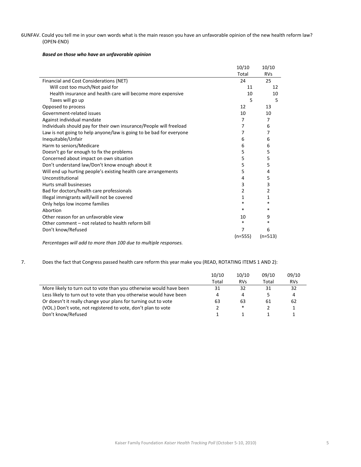## 6UNFAV. Could you tell me in your own words what is the main reason you have an unfavorable opinion of the new health reform law? (OPEN‐END)

#### *Based on those who have an unfavorable opinion*

|                                                                     | 10/10     | 10/10      |
|---------------------------------------------------------------------|-----------|------------|
|                                                                     | Total     | <b>RVs</b> |
| Financial and Cost Considerations (NET)                             | 24        | 25         |
| Will cost too much/Not paid for                                     | 11        | 12         |
| Health insurance and health care will become more expensive         | 10        | 10         |
| Taxes will go up                                                    | 5         | 5          |
| Opposed to process                                                  | 12        | 13         |
| Government-related issues                                           | 10        | 10         |
| Against individual mandate                                          | 7         | 7          |
| Individuals should pay for their own insurance/People will freeload | 7         | 6          |
| Law is not going to help anyone/law is going to be bad for everyone | 7         | 7          |
| Inequitable/Unfair                                                  | 6         | 6          |
| Harm to seniors/Medicare                                            | 6         | 6          |
| Doesn't go far enough to fix the problems                           | 5         | 5          |
| Concerned about impact on own situation                             | 5         | 5          |
| Don't understand law/Don't know enough about it                     | 5         | 5          |
| Will end up hurting people's existing health care arrangements      | 5         | 4          |
| Unconstitutional                                                    | 4         | 5          |
| Hurts small businesses                                              | 3         | 3          |
| Bad for doctors/health care professionals                           | 2         | 2          |
| Illegal immigrants will/will not be covered                         | 1         | 1          |
| Only helps low income families                                      | *         | $\ast$     |
| Abortion                                                            | $\ast$    | *          |
| Other reason for an unfavorable view                                | 10        | 9          |
| Other comment - not related to health reform bill                   | *         | $\ast$     |
| Don't know/Refused                                                  | 7         | 6          |
|                                                                     | $(n=555)$ | $(n=513)$  |
| Percentages will add to more than 100 due to multiple responses     |           |            |

*Percentages will add to more than 100 due to multiple responses.*

## 7. Does the fact that Congress passed health care reform this year make you (READ, ROTATING ITEMS 1 AND 2):

|                                                                    | 10/10<br>Total | 10/10<br><b>RVs</b> | 09/10<br>Total | 09/10<br><b>RVs</b> |
|--------------------------------------------------------------------|----------------|---------------------|----------------|---------------------|
| More likely to turn out to vote than you otherwise would have been | 31             | 32                  | 31             | 32                  |
| Less likely to turn out to vote than you otherwise would have been | 4              | 4                   |                | 4                   |
| Or doesn't it really change your plans for turning out to vote     | 63             | 63                  | 61             | 62                  |
| (VOL.) Don't vote, not registered to vote, don't plan to vote      |                | *                   |                |                     |
| Don't know/Refused                                                 |                |                     |                |                     |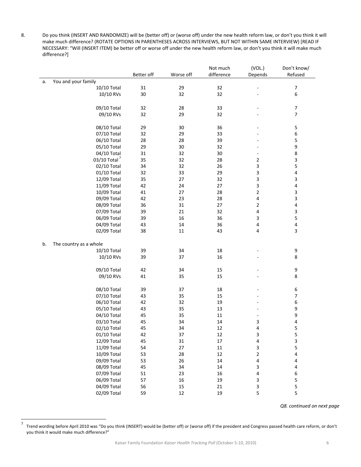8. Do you think (INSERT AND RANDOMIZE) will be (better off) or (worse off) under the new health reform law, or don't you think it will make much difference? (ROTATE OPTIONS IN PARENTHESES ACROSS INTERVIEWS, BUT NOT WITHIN SAME INTERVIEW) [READ IF NECESSARY: "Will (INSERT ITEM) be better off or worse off under the new health reform law, or don't you think it will make much difference?]

|    |                          |            |           | Not much   | (VOL.)                  | Don't know/      |
|----|--------------------------|------------|-----------|------------|-------------------------|------------------|
|    |                          | Better off | Worse off | difference | Depends                 | Refused          |
| a. | You and your family      |            |           |            |                         |                  |
|    | 10/10 Total              | 31         | 29        | 32         |                         | $\boldsymbol{7}$ |
|    | 10/10 RVs                | 30         | 32        | 32         |                         | 6                |
|    |                          |            |           |            |                         |                  |
|    | 09/10 Total              | 32         | 28        | 33         |                         | $\boldsymbol{7}$ |
|    | 09/10 RVs                | 32         | 29        | 32         |                         | 7                |
|    |                          |            |           |            |                         |                  |
|    | 08/10 Total              | 29         | 30        | 36         |                         | 5                |
|    | 07/10 Total              | 32         | 29        | 33         |                         | 6                |
|    | 06/10 Total              | 28         | 28        | 39         |                         | 5                |
|    | 05/10 Total              | 29         | 30        | 32         |                         | 9                |
|    | 04/10 Total              | 31         | 32        | 30         |                         | 8                |
|    | 03/10 Total <sup>7</sup> | 35         | 32        | 28         | 2                       | 3                |
|    | 02/10 Total              | 34         | 32        | 26         | 3                       | 5                |
|    | 01/10 Total              | 32         | 33        | 29         | 3                       | 4                |
|    | 12/09 Total              | 35         | 27        | 32         | 3                       | 3                |
|    | 11/09 Total              | 42         | 24        | 27         | 3                       | 4                |
|    | 10/09 Total              | 41         | 27        | 28         | $\mathbf 2$             | 3                |
|    | 09/09 Total              | 42         | 23        | 28         | 4                       | 3                |
|    | 08/09 Total              | 36         | 31        | 27         | $\overline{2}$          | 4                |
|    | 07/09 Total              | 39         | 21        | 32         | 4                       | 3                |
|    | 06/09 Total              | 39         | 16        | 36         | 3                       | 5                |
|    | 04/09 Total              | 43         | 14        | 36         | $\overline{4}$          | 4                |
|    | 02/09 Total              | 38         | 11        | 43         | 4                       | 3                |
|    |                          |            |           |            |                         |                  |
| b. | The country as a whole   |            |           |            |                         |                  |
|    | 10/10 Total              | 39         | 34        | 18         |                         | 9                |
|    | 10/10 RVs                | 39         | 37        | 16         |                         | 8                |
|    |                          |            |           |            |                         |                  |
|    | 09/10 Total              | 42         | 34        | 15         |                         | $\boldsymbol{9}$ |
|    | 09/10 RVs                | 41         | 35        | 15         |                         | 8                |
|    |                          |            |           |            |                         |                  |
|    | 08/10 Total              | 39         | 37        | $18\,$     |                         | 6                |
|    | 07/10 Total              | 43         | 35        | 15         |                         | 7                |
|    | 06/10 Total              | 42         | 32        | 19         |                         | 6                |
|    | 05/10 Total              | 43         | 35        | 13         |                         | 9                |
|    | 04/10 Total              | 45         | 35        | 11         |                         | 9                |
|    | 03/10 Total              | 45         | 34        | 14         | 3                       | 4                |
|    | 02/10 Total              | 45         | 34        | 12         | 4                       | 5                |
|    | 01/10 Total              | 42         | 37        | 12         | 3                       | 5                |
|    | 12/09 Total              | 45         | 31        | $17\,$     | 4                       | 3                |
|    | 11/09 Total              | 54         | 27        | $11\,$     | 3                       | 5                |
|    | 10/09 Total              | 53         | 28        | 12         | $\overline{\mathbf{c}}$ | 4                |
|    | 09/09 Total              | 53         | 26        | $14\,$     | 4                       | 4                |
|    | 08/09 Total              | 45         | 34        | 14         | 3                       | 4                |
|    | 07/09 Total              | 51         | 23        | 16         | 4                       | 6                |
|    | 06/09 Total              | 57         | 16        | 19         | 3                       | 5                |
|    | 04/09 Total              | 56         | 15        | 21         | 3                       | 5                |
|    | 02/09 Total              | 59         | 12        | 19         | 5                       | 5                |
|    |                          |            |           |            |                         |                  |

*Q8. continued on next page*

<sup>7</sup> Trend wording before April 2010 was "Do you think (INSERT) would be (better off) or (worse off) if the president and Congress passed health care reform, or don't you think it would make much difference?"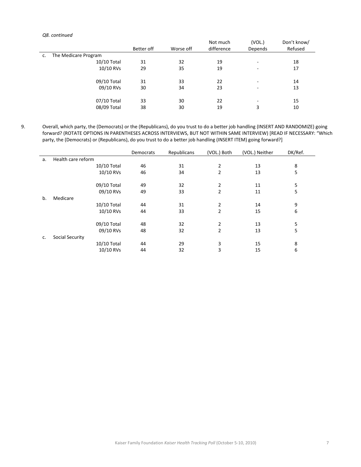#### *Q8. continued*

|    |                      |            |           | Not much   | (VOL.)  | Don't know/ |
|----|----------------------|------------|-----------|------------|---------|-------------|
|    |                      | Better off | Worse off | difference | Depends | Refused     |
| c. | The Medicare Program |            |           |            |         |             |
|    | 10/10 Total          | 31         | 32        | 19         | ۰       | 18          |
|    | 10/10 RVs            | 29         | 35        | 19         | -       | 17          |
|    |                      |            |           |            |         |             |
|    | 09/10 Total          | 31         | 33        | 22         | ۰       | 14          |
|    | 09/10 RVs            | 30         | 34        | 23         | ۰       | 13          |
|    | 07/10 Total          | 33         | 30        | 22         | ۰       | 15          |
|    | 08/09 Total          | 38         | 30        | 19         | 3       | 10          |

9. Overall, which party, the (Democrats) or the (Republicans), do you trust to do a better job handling (INSERT AND RANDOMIZE) going forward? (ROTATE OPTIONS IN PARENTHESES ACROSS INTERVIEWS, BUT NOT WITHIN SAME INTERVIEW) [READ IF NECESSARY: "Which party, the (Democrats) or (Republicans), do you trust to do a better job handling (INSERT ITEM) going forward?]

|    |                    | Democrats | Republicans | (VOL.) Both | (VOL.) Neither | DK/Ref. |
|----|--------------------|-----------|-------------|-------------|----------------|---------|
| a. | Health care reform |           |             |             |                |         |
|    | 10/10 Total        | 46        | 31          | 2           | 13             | 8       |
|    | 10/10 RVs          | 46        | 34          | 2           | 13             | 5       |
|    | 09/10 Total        | 49        | 32          | 2           | 11             | 5       |
|    | 09/10 RVs          | 49        | 33          | 2           | 11             | 5       |
| b. | Medicare           |           |             |             |                |         |
|    | 10/10 Total        | 44        | 31          | 2           | 14             | 9       |
|    | 10/10 RVs          | 44        | 33          | 2           | 15             | 6       |
|    | 09/10 Total        | 48        | 32          | 2           | 13             | 5       |
|    | 09/10 RVs          | 48        | 32          | 2           | 13             | 5       |
| c. | Social Security    |           |             |             |                |         |
|    | 10/10 Total        | 44        | 29          | 3           | 15             | 8       |
|    | 10/10 RVs          | 44        | 32          | 3           | 15             | 6       |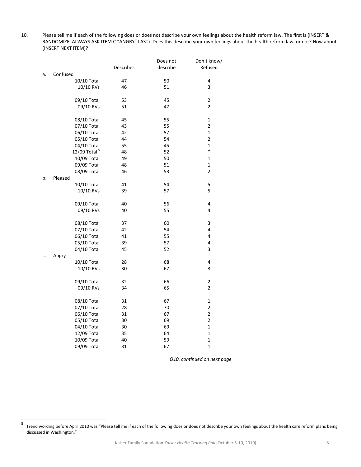10. Please tell me if each of the following does or does not describe your own feelings about the health reform law. The first is (INSERT & RANDOMIZE, ALWAYS ASK ITEM C "ANGRY" LAST). Does this describe your own feelings about the health reform law, or not? How about (INSERT NEXT ITEM)?

|    |                          |                  | Does not | Don't know/    |
|----|--------------------------|------------------|----------|----------------|
|    |                          | <b>Describes</b> | describe | Refused        |
| a. | Confused                 |                  |          |                |
|    | 10/10 Total              | 47               | 50       | 4              |
|    | 10/10 RVs                | 46               | 51       | 3              |
|    |                          |                  |          |                |
|    | 09/10 Total              | 53               | 45       | 2              |
|    | 09/10 RVs                | 51               | 47       | $\overline{2}$ |
|    |                          |                  |          |                |
|    | 08/10 Total              | 45               | 55       | 1              |
|    | 07/10 Total              | 43               | 55       | 2              |
|    | 06/10 Total              | 42               | 57       | $\mathbf 1$    |
|    | 05/10 Total              | 44               | 54       | $\overline{2}$ |
|    | 04/10 Total              | 55               | 45       | $\mathbf{1}$   |
|    | 12/09 Total <sup>8</sup> | 48               | 52       | $\ast$         |
|    | 10/09 Total              | 49               | 50       | 1              |
|    | 09/09 Total              | 48               | 51       | 1              |
|    | 08/09 Total              | 46               | 53       | 2              |
| b. | Pleased                  |                  |          |                |
|    | 10/10 Total              | 41               | 54       | 5              |
|    | 10/10 RVs                | 39               | 57       | 5              |
|    |                          |                  |          |                |
|    | 09/10 Total              | 40               | 56       | 4              |
|    | 09/10 RVs                | 40               | 55       | 4              |
|    |                          |                  |          |                |
|    | 08/10 Total              | 37               | 60       | 3              |
|    | 07/10 Total              | 42               | 54       | 4              |
|    | 06/10 Total              | 41               | 55       | 4              |
|    | 05/10 Total              | 39               | 57       | 4              |
|    | 04/10 Total              | 45               | 52       | 3              |
| c. | Angry                    |                  |          |                |
|    | 10/10 Total              | 28               | 68       | 4              |
|    | 10/10 RVs                | 30               | 67       | 3              |
|    |                          |                  |          |                |
|    | 09/10 Total              | 32               | 66       | $\mathbf 2$    |
|    | 09/10 RVs                | 34               | 65       | $\overline{2}$ |
|    |                          |                  |          |                |
|    | 08/10 Total              | 31               | 67       | 1              |
|    | 07/10 Total              | 28               | 70       | 2              |
|    | 06/10 Total              | 31               | 67       | 2              |
|    | 05/10 Total              | 30               | 69       | $\overline{2}$ |
|    | 04/10 Total              | 30               | 69       | $\mathbf{1}$   |
|    | 12/09 Total              | 35               | 64       | 1              |
|    | 10/09 Total              | 40               | 59       | 1              |
|    | 09/09 Total              | 31               | 67       | $\mathbf{1}$   |
|    |                          |                  |          |                |

*Q10. continued on next page*

<sup>8</sup> Trend wording before April <sup>2010</sup> was "Please tell me if each of the following does or does not describe your own feelings about the health care reform plans being discussed in Washington."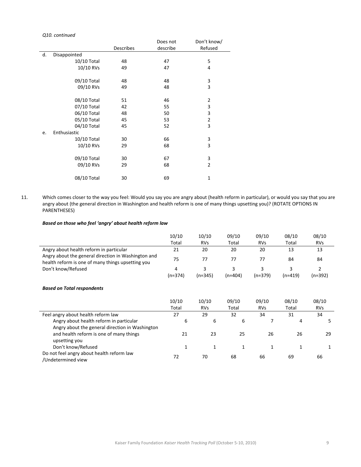### *Q10. continued*

|    |              |                  | Does not | Don't know/    |
|----|--------------|------------------|----------|----------------|
|    |              | <b>Describes</b> | describe | Refused        |
| d. | Disappointed |                  |          |                |
|    | 10/10 Total  | 48               | 47       | 5              |
|    | 10/10 RVs    | 49               | 47       | 4              |
|    |              |                  |          |                |
|    | 09/10 Total  | 48               | 48       | 3              |
|    | 09/10 RVs    | 49               | 48       | 3              |
|    |              |                  |          |                |
|    | 08/10 Total  | 51               | 46       | $\overline{2}$ |
|    | 07/10 Total  | 42               | 55       | 3              |
|    | 06/10 Total  | 48               | 50       | 3              |
|    | 05/10 Total  | 45               | 53       | $\mathbf 2$    |
|    | 04/10 Total  | 45               | 52       | 3              |
| e. | Enthusiastic |                  |          |                |
|    | 10/10 Total  | 30               | 66       | 3              |
|    | 10/10 RVs    | 29               | 68       | 3              |
|    |              |                  |          |                |
|    | 09/10 Total  | 30               | 67       | 3              |
|    | 09/10 RVs    | 29               | 68       | $\overline{2}$ |
|    |              |                  |          |                |
|    | 08/10 Total  | 30               | 69       | $\mathbf{1}$   |

11. Which comes closer to the way you feel: Would you say you are angry about (health reform in particular), or would you say that you are angry about (the general direction in Washington and health reform is one of many things upsetting you)? (ROTATE OPTIONS IN PARENTHESES)

## *Based on those who feel 'angry' about health reform law*

|                                                                                                          | 10/10     | 10/10      | 09/10     | 09/10      | 08/10     | 08/10          |
|----------------------------------------------------------------------------------------------------------|-----------|------------|-----------|------------|-----------|----------------|
|                                                                                                          | Total     | <b>RVs</b> | Total     | <b>RVs</b> | Total     | <b>RVs</b>     |
| Angry about health reform in particular                                                                  | 21        | 20         | 20        | 20         | 13        | 13             |
| Angry about the general direction in Washington and<br>health reform is one of many things upsetting you | 75        | 77         | 77        | 77         | 84        | 84             |
| Don't know/Refused                                                                                       | 4         | 3          | 3         | 3          | 3         | $\overline{2}$ |
|                                                                                                          | $(n=374)$ | $(n=345)$  | $(n=404)$ | $(n=379)$  | $(n=419)$ | $(n=392)$      |
| <b>Based on Total respondents</b>                                                                        |           |            |           |            |           |                |
|                                                                                                          | 10/10     | 10/10      | 09/10     | 09/10      | 08/10     | 08/10          |
|                                                                                                          | Total     | <b>RVs</b> | Total     | <b>RVs</b> | Total     | <b>RVs</b>     |
| Feel angry about health reform law                                                                       | 27        | 29         | 32        | 34         | 31        | 34             |
| Angry about health reform in particular                                                                  | 6         | 6          | 6         | 7          | 4         | 5              |
| Angry about the general direction in Washington                                                          |           |            |           |            |           |                |
| and health reform is one of many things                                                                  | 21        | 23         | 25        | 26         | 26        | 29             |
| upsetting you                                                                                            |           |            |           |            |           |                |
| Don't know/Refused                                                                                       | 1         | 1          | 1         | 1          | 1         |                |
| Do not feel angry about health reform law<br>/Undetermined view                                          | 72        | 70         | 68        | 66         | 69        | 66             |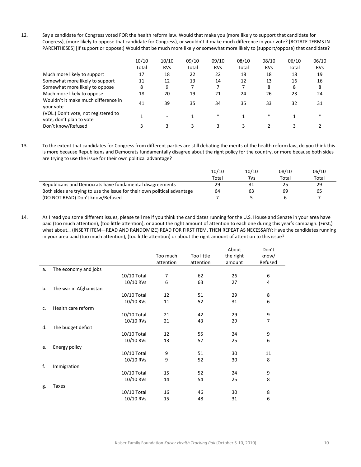12. Say a candidate for Congress voted FOR the health reform law. Would that make you (more likely to support that candidate for Congress), (more likely to oppose that candidate for Congress), or wouldn't it make much difference in your vote? [ROTATE TERMS IN PARENTHESES] [If support or oppose:] Would that be much more likely or somewhat more likely to (support/oppose) that candidate?

|                                                                  | 10/10 | 10/10      | 09/10 | 09/10      | 08/10 | 08/10      | 06/10 | 06/10      |
|------------------------------------------------------------------|-------|------------|-------|------------|-------|------------|-------|------------|
|                                                                  | Total | <b>RVs</b> | Total | <b>RVs</b> | Total | <b>RVs</b> | Total | <b>RVs</b> |
| Much more likely to support                                      | 17    | 18         | 22    | 22         | 18    | 18         | 18    | 19         |
| Somewhat more likely to support                                  | 11    | 12         | 13    | 14         | 12    | 13         | 16    | 16         |
| Somewhat more likely to oppose                                   | 8     | 9          |       |            |       | 8          | 8     | 8          |
| Much more likely to oppose                                       | 18    | 20         | 19    | 21         | 24    | 26         | 23    | 24         |
| Wouldn't it make much difference in<br>your vote                 | 41    | 39         | 35    | 34         | 35    | 33         | 32    | 31         |
| (VOL.) Don't vote, not registered to<br>vote, don't plan to vote |       | ٠          |       | $*$        |       | $\ast$     |       | $\ast$     |
| Don't know/Refused                                               |       |            |       |            |       |            |       |            |

13. To the extent that candidates for Congress from different parties are still debating the merits of the health reform law, do you think this is more because Republicans and Democrats fundamentally disagree about the right policy for the country, or more because both sides are trying to use the issue for their own political advantage?

|                                                                          | 10/10 | 10/10      | 08/10 | 06/10 |
|--------------------------------------------------------------------------|-------|------------|-------|-------|
|                                                                          | Total | <b>RVs</b> | Total | Total |
| Republicans and Democrats have fundamental disagreements                 | 29    |            | 25    | 29    |
| Both sides are trying to use the issue for their own political advantage | 64    | 63         | 69    | 65    |
| (DO NOT READ) Don't know/Refused                                         |       |            | h     |       |

14. As I read you some different issues, please tell me if you think the candidates running for the U.S. House and Senate in your area have paid (too much attention), (too little attention), or about the right amount of attention to each one during this year's campaign. (First,) what about… (INSERT ITEM—READ AND RANDOMIZE) READ FOR FIRST ITEM, THEN REPEAT AS NECESSARY: Have the candidates running in your area paid (too much attention), (too little attention) or about the right amount of attention to this issue?

|    |                        |             |           |            | About     | Don't          |
|----|------------------------|-------------|-----------|------------|-----------|----------------|
|    |                        |             | Too much  | Too little | the right | know/          |
|    |                        |             | attention | attention  | amount    | Refused        |
| a. | The economy and jobs   |             |           |            |           |                |
|    |                        | 10/10 Total | 7         | 62         | 26        | 6              |
|    |                        | 10/10 RVs   | 6         | 63         | 27        | 4              |
| b. | The war in Afghanistan |             |           |            |           |                |
|    |                        | 10/10 Total | 12        | 51         | 29        | 8              |
|    |                        | 10/10 RVs   | 11        | 52         | 31        | 6              |
| c. | Health care reform     |             |           |            |           |                |
|    |                        | 10/10 Total | 21        | 42         | 29        | 9              |
|    |                        | 10/10 RVs   | 21        | 43         | 29        | $\overline{7}$ |
| d. | The budget deficit     |             |           |            |           |                |
|    |                        | 10/10 Total | 12        | 55         | 24        | 9              |
|    |                        | 10/10 RVs   | 13        | 57         | 25        | 6              |
| e. | Energy policy          |             |           |            |           |                |
|    |                        | 10/10 Total | 9         | 51         | 30        | 11             |
|    |                        | 10/10 RVs   | 9         | 52         | 30        | 8              |
| f. | Immigration            |             |           |            |           |                |
|    |                        | 10/10 Total | 15        | 52         | 24        | 9              |
|    |                        | 10/10 RVs   | 14        | 54         | 25        | 8              |
| g. | Taxes                  |             |           |            |           |                |
|    |                        | 10/10 Total | 16        | 46         | 30        | 8              |
|    |                        | 10/10 RVs   | 15        | 48         | 31        | 6              |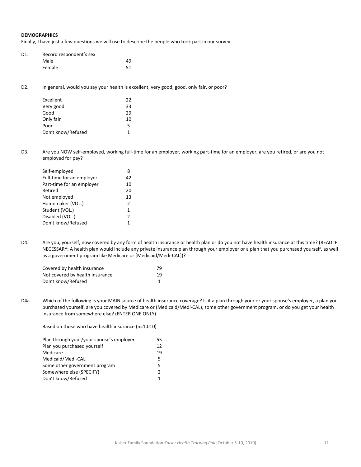#### **DEMOGRAPHICS**

Finally, I have just a few questions we will use to describe the people who took part in our survey…

| D1. | Record respondent's sex |    |
|-----|-------------------------|----|
|     | Male                    | 49 |
|     | Female                  | 51 |

D2. In general, would you say your health is excellent, very good, good, only fair, or poor?

| 22 |
|----|
|    |
| 33 |
| 29 |
| 10 |
| 5  |
| 1  |
|    |

D3. Are you NOW self-employed, working full-time for an employer, working part-time for an employer, are you retired, or are you not employed for pay?

| Self-employed             | 8             |
|---------------------------|---------------|
| Full-time for an employer | 42            |
| Part-time for an employer | 10            |
| Retired                   | 20            |
| Not employed              | 13            |
| Homemaker (VOL.)          | $\mathcal{P}$ |
| Student (VOL.)            | $\mathbf{1}$  |
| Disabled (VOL.)           | 2             |
| Don't know/Refused        | 1             |

D4. Are you, yourself, now covered by any form of health insurance or health plan or do you not have health insurance at this time? (READ IF NECESSARY: A health plan would include any private insurance plan through your employer or a plan that you purchased yourself, as well as a government program like Medicare or [Medicaid/Medi‐CAL])?

| Covered by health insurance     | 79 |
|---------------------------------|----|
| Not covered by health insurance | 19 |
| Don't know/Refused              |    |

D4a. Which of the following is your MAIN source of health insurance coverage? Is it a plan through your or your spouse's employer, a plan you purchased yourself, are you covered by Medicare or (Medicaid/Medi‐CAL), some other government program, or do you get your health insurance from somewhere else? (ENTER ONE ONLY)

Based on those who have health insurance (n=1,010)

| Plan through your/your spouse's employer | 55 |
|------------------------------------------|----|
| Plan you purchased yourself              | 12 |
| Medicare                                 | 19 |
| Medicaid/Medi-CAL                        | 5. |
| Some other government program            | 5. |
| Somewhere else (SPECIFY)                 |    |
| Don't know/Refused                       |    |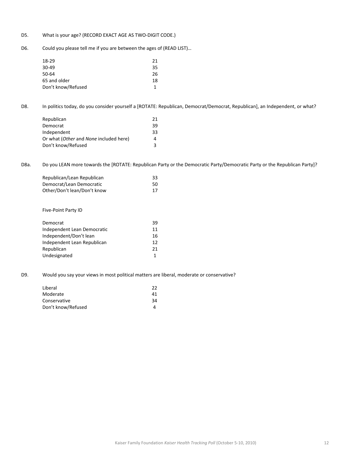## D5. What is your age? (RECORD EXACT AGE AS TWO-DIGIT CODE.)

D6. Could you please tell me if you are between the ages of (READ LIST)…

| 18-29              | 21 |
|--------------------|----|
|                    |    |
| $30-49$            | 35 |
| $50-64$            | 26 |
| 65 and older       | 18 |
| Don't know/Refused |    |

D8. In politics today, do you consider yourself a [ROTATE: Republican, Democrat/Democrat, Republican], an Independent, or what?

| Republican                             | 21 |
|----------------------------------------|----|
| Democrat                               | 39 |
| Independent                            | 33 |
| Or what (Other and None included here) |    |
| Don't know/Refused                     |    |

D8a. Do you LEAN more towards the [ROTATE: Republican Party or the Democratic Party/Democratic Party or the Republican Party]?

| Republican/Lean Republican  | 33 |
|-----------------------------|----|
| Democrat/Lean Democratic    | 50 |
| Other/Don't lean/Don't know | 17 |

Five‐Point Party ID

| Democrat                    | 39 |
|-----------------------------|----|
| Independent Lean Democratic | 11 |
| Independent/Don't lean      | 16 |
| Independent Lean Republican | 12 |
| Republican                  | 21 |
| Undesignated                |    |
|                             |    |

D9. Would you say your views in most political matters are liberal, moderate or conservative?

| Liberal            | 22 |
|--------------------|----|
| Moderate           | 41 |
| Conservative       | 34 |
| Don't know/Refused |    |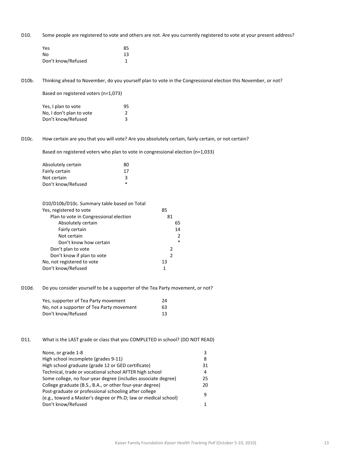D10. Some people are registered to vote and others are not. Are you currently registered to vote at your present address?

| Yes                | 85 |
|--------------------|----|
| No                 | 13 |
| Don't know/Refused |    |

D10b. Thinking ahead to November, do you yourself plan to vote in the Congressional election this November, or not?

Based on registered voters (n=1,073)

| Yes, I plan to vote      | 95 |  |
|--------------------------|----|--|
| No, I don't plan to vote |    |  |
| Don't know/Refused       | 3  |  |

D10c. How certain are you that you will vote? Are you absolutely certain, fairly certain, or not certain?

Based on registered voters who plan to vote in congressional election (n=1,033)

| Absolutely certain | 80     |
|--------------------|--------|
| Fairly certain     | 17     |
| Not certain        | ર      |
| Don't know/Refused | $\ast$ |

| D10/D10b/D10c. Summary table based on Total |        |
|---------------------------------------------|--------|
| Yes, registered to vote                     | 85     |
| Plan to vote in Congressional election      | 81     |
| Absolutely certain                          | 65     |
| Fairly certain                              | 14     |
| Not certain                                 | 2      |
| Don't know how certain                      | $\ast$ |
| Don't plan to vote                          | 2      |
| Don't know if plan to vote                  | 2      |
| No, not registered to vote                  | 13     |
| Don't know/Refused                          | 1      |

D10d. Do you consider yourself to be a supporter of the Tea Party movement, or not?

| Yes, supporter of Tea Party movement      | 24 |
|-------------------------------------------|----|
| No, not a supporter of Tea Party movement | 63 |
| Don't know/Refused                        | 13 |

D11. What is the LAST grade or class that you COMPLETED in school? (DO NOT READ)

| None, or grade 1-8                                                                                                       | 3. |
|--------------------------------------------------------------------------------------------------------------------------|----|
| High school incomplete (grades 9-11)                                                                                     | 8  |
| High school graduate (grade 12 or GED certificate)                                                                       | 31 |
| Technical, trade or vocational school AFTER high school                                                                  | 4  |
| Some college, no four-year degree (includes associate degree)                                                            | 25 |
| College graduate (B.S., B.A., or other four-year degree)                                                                 | 20 |
| Post-graduate or professional schooling after college<br>(e.g., toward a Master's degree or Ph.D; law or medical school) | 9  |
| Don't know/Refused                                                                                                       |    |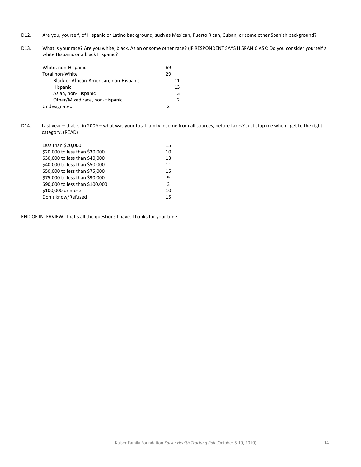- D12. Are you, yourself, of Hispanic or Latino background, such as Mexican, Puerto Rican, Cuban, or some other Spanish background?
- D13. What is your race? Are you white, black, Asian or some other race? (IF RESPONDENT SAYS HISPANIC ASK: Do you consider yourself a white Hispanic or a black Hispanic?

| White, non-Hispanic                     | 69            |
|-----------------------------------------|---------------|
| Total non-White                         | 29            |
| Black or African-American, non-Hispanic | 11            |
| <b>Hispanic</b>                         | 13            |
| Asian, non-Hispanic                     | ς             |
| Other/Mixed race, non-Hispanic          | $\mathcal{P}$ |
| Undesignated                            |               |

D14. Last year – that is, in 2009 – what was your total family income from all sources, before taxes? Just stop me when I get to the right category. (READ)

| Less than \$20,000              | 15 |
|---------------------------------|----|
| \$20,000 to less than \$30,000  | 10 |
| \$30,000 to less than \$40,000  | 13 |
| \$40,000 to less than \$50,000  | 11 |
| \$50,000 to less than \$75,000  | 15 |
| \$75,000 to less than \$90,000  | 9  |
| \$90,000 to less than \$100,000 | 3  |
| \$100,000 or more               | 10 |
| Don't know/Refused              | 15 |
|                                 |    |

END OF INTERVIEW: That's all the questions I have. Thanks for your time.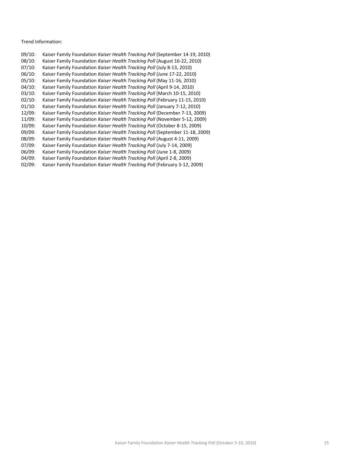### Trend Information:

| 09/10:    | Kaiser Family Foundation Kaiser Health Tracking Poll (September 14-19, 2010) |
|-----------|------------------------------------------------------------------------------|
| 08/10:    | Kaiser Family Foundation Kaiser Health Tracking Poll (August 16-22, 2010)    |
| 07/10:    | Kaiser Family Foundation Kaiser Health Tracking Poll (July 8-13, 2010)       |
| 06/10:    | Kaiser Family Foundation Kaiser Health Tracking Poll (June 17-22, 2010)      |
| 05/10:    | Kaiser Family Foundation Kaiser Health Tracking Poll (May 11-16, 2010)       |
| 04/10:    | Kaiser Family Foundation Kaiser Health Tracking Poll (April 9-14, 2010)      |
| 03/10:    | Kaiser Family Foundation Kaiser Health Tracking Poll (March 10-15, 2010)     |
| 02/10:    | Kaiser Family Foundation Kaiser Health Tracking Poll (February 11-15, 2010)  |
| $01/10$ : | Kaiser Family Foundation Kaiser Health Tracking Poll (January 7-12, 2010)    |
| 12/09:    | Kaiser Family Foundation Kaiser Health Tracking Poll (December 7-13, 2009)   |
| 11/09:    | Kaiser Family Foundation Kaiser Health Tracking Poll (November 5-12, 2009)   |
| $10/09$ : | Kaiser Family Foundation Kaiser Health Tracking Poll (October 8-15, 2009)    |
| 09/09:    | Kaiser Family Foundation Kaiser Health Tracking Poll (September 11-18, 2009) |
| 08/09:    | Kaiser Family Foundation Kaiser Health Tracking Poll (August 4-11, 2009)     |
| 07/09:    | Kaiser Family Foundation Kaiser Health Tracking Poll (July 7-14, 2009)       |
| 06/09:    | Kaiser Family Foundation Kaiser Health Tracking Poll (June 1-8, 2009)        |
| 04/09:    | Kaiser Family Foundation Kaiser Health Tracking Poll (April 2-8, 2009)       |
| 02/09:    | Kaiser Family Foundation Kaiser Health Tracking Poll (February 3-12, 2009)   |